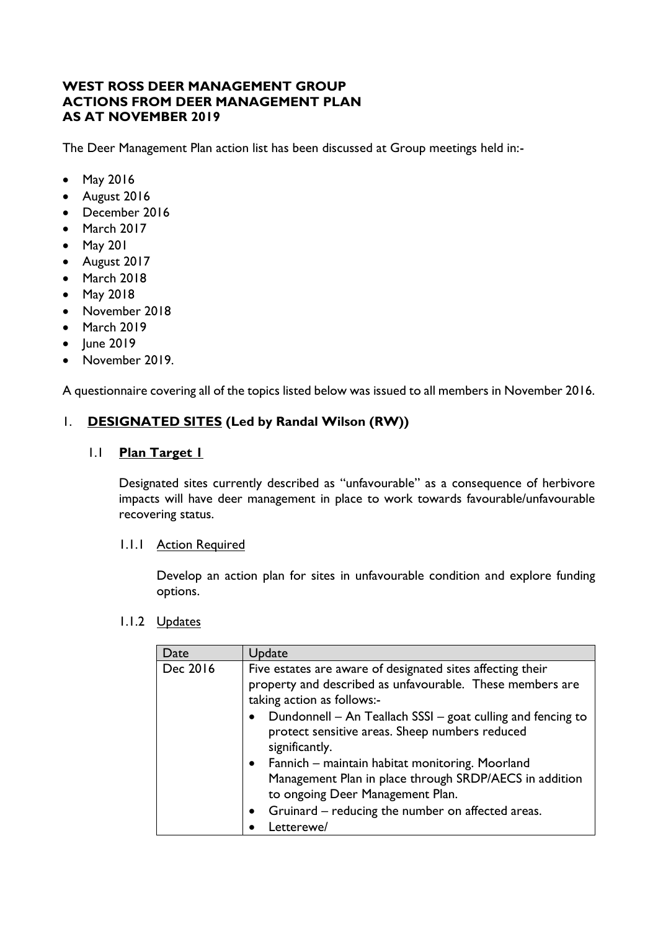## **WEST ROSS DEER MANAGEMENT GROUP ACTIONS FROM DEER MANAGEMENT PLAN AS AT NOVEMBER 2019**

The Deer Management Plan action list has been discussed at Group meetings held in:-

- May 2016
- August 2016
- December 2016
- March 2017
- May 201
- August 2017
- March 2018
- May 2018
- November 2018
- March 2019
- June 2019
- November 2019.

A questionnaire covering all of the topics listed below was issued to all members in November 2016.

## 1. **DESIGNATED SITES (Led by Randal Wilson (RW))**

## 1.1 **Plan Target 1**

Designated sites currently described as "unfavourable" as a consequence of herbivore impacts will have deer management in place to work towards favourable/unfavourable recovering status.

## 1.1.1 Action Required

Develop an action plan for sites in unfavourable condition and explore funding options.

| Date     | Update                                                                                                                                                                                                                                                                                                                                                                                                                                                                                                                                |
|----------|---------------------------------------------------------------------------------------------------------------------------------------------------------------------------------------------------------------------------------------------------------------------------------------------------------------------------------------------------------------------------------------------------------------------------------------------------------------------------------------------------------------------------------------|
| Dec 2016 | Five estates are aware of designated sites affecting their<br>property and described as unfavourable. These members are<br>taking action as follows:-<br>Dundonnell - An Teallach SSSI - goat culling and fencing to<br>$\bullet$<br>protect sensitive areas. Sheep numbers reduced<br>significantly.<br>Fannich - maintain habitat monitoring. Moorland<br>$\bullet$<br>Management Plan in place through SRDP/AECS in addition<br>to ongoing Deer Management Plan.<br>Gruinard - reducing the number on affected areas.<br>$\bullet$ |
|          | Letterewe/                                                                                                                                                                                                                                                                                                                                                                                                                                                                                                                            |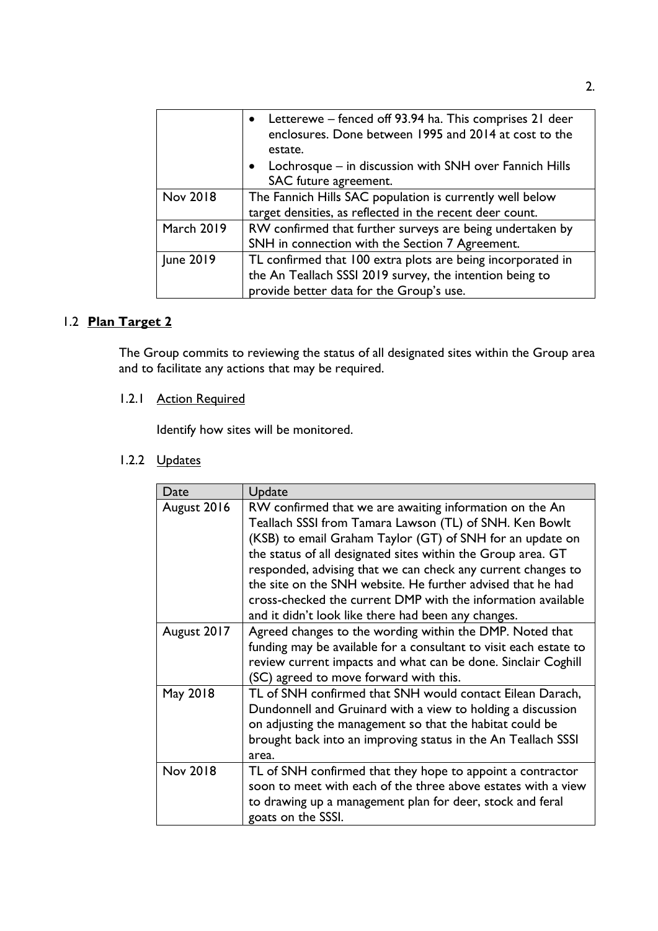|                   | • Letterewe – fenced off 93.94 ha. This comprises 21 deer<br>enclosures. Done between 1995 and 2014 at cost to the<br>estate.<br>• Lochrosque – in discussion with SNH over Fannich Hills<br>SAC future agreement. |
|-------------------|--------------------------------------------------------------------------------------------------------------------------------------------------------------------------------------------------------------------|
| Nov 2018          | The Fannich Hills SAC population is currently well below<br>target densities, as reflected in the recent deer count.                                                                                               |
| <b>March 2019</b> | RW confirmed that further surveys are being undertaken by<br>SNH in connection with the Section 7 Agreement.                                                                                                       |
| June 2019         | TL confirmed that 100 extra plots are being incorporated in<br>the An Teallach SSSI 2019 survey, the intention being to<br>provide better data for the Group's use.                                                |

# 1.2 **Plan Target 2**

The Group commits to reviewing the status of all designated sites within the Group area and to facilitate any actions that may be required.

# 1.2.1 Action Required

Identify how sites will be monitored.

| Date        | Update                                                                                                                                                                                                                                                                                                                                                                                                                                                                                                |
|-------------|-------------------------------------------------------------------------------------------------------------------------------------------------------------------------------------------------------------------------------------------------------------------------------------------------------------------------------------------------------------------------------------------------------------------------------------------------------------------------------------------------------|
| August 2016 | RW confirmed that we are awaiting information on the An<br>Teallach SSSI from Tamara Lawson (TL) of SNH. Ken Bowlt<br>(KSB) to email Graham Taylor (GT) of SNH for an update on<br>the status of all designated sites within the Group area. GT<br>responded, advising that we can check any current changes to<br>the site on the SNH website. He further advised that he had<br>cross-checked the current DMP with the information available<br>and it didn't look like there had been any changes. |
| August 2017 | Agreed changes to the wording within the DMP. Noted that<br>funding may be available for a consultant to visit each estate to<br>review current impacts and what can be done. Sinclair Coghill<br>(SC) agreed to move forward with this.                                                                                                                                                                                                                                                              |
| May 2018    | TL of SNH confirmed that SNH would contact Eilean Darach,<br>Dundonnell and Gruinard with a view to holding a discussion<br>on adjusting the management so that the habitat could be<br>brought back into an improving status in the An Teallach SSSI<br>area.                                                                                                                                                                                                                                        |
| Nov 2018    | TL of SNH confirmed that they hope to appoint a contractor<br>soon to meet with each of the three above estates with a view<br>to drawing up a management plan for deer, stock and feral<br>goats on the SSSI.                                                                                                                                                                                                                                                                                        |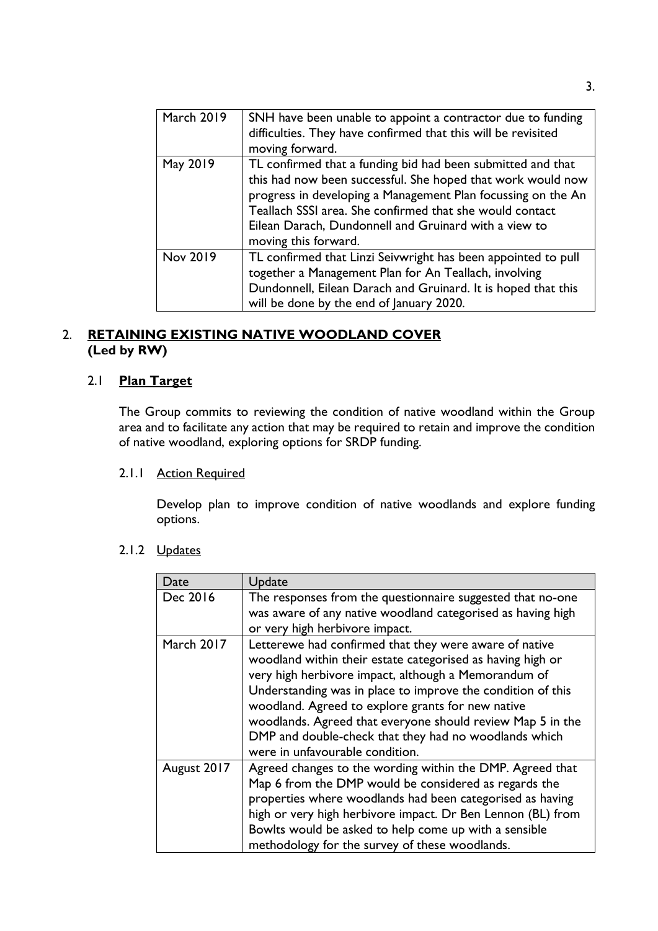| <b>March 2019</b> | SNH have been unable to appoint a contractor due to funding<br>difficulties. They have confirmed that this will be revisited<br>moving forward.                                                                                                                                                                                         |
|-------------------|-----------------------------------------------------------------------------------------------------------------------------------------------------------------------------------------------------------------------------------------------------------------------------------------------------------------------------------------|
| May 2019          | TL confirmed that a funding bid had been submitted and that<br>this had now been successful. She hoped that work would now<br>progress in developing a Management Plan focussing on the An<br>Teallach SSSI area. She confirmed that she would contact<br>Eilean Darach, Dundonnell and Gruinard with a view to<br>moving this forward. |
| Nov 2019          | TL confirmed that Linzi Seivwright has been appointed to pull<br>together a Management Plan for An Teallach, involving<br>Dundonnell, Eilean Darach and Gruinard. It is hoped that this<br>will be done by the end of January 2020.                                                                                                     |

## 2. **RETAINING EXISTING NATIVE WOODLAND COVER (Led by RW)**

## 2.1 **Plan Target**

The Group commits to reviewing the condition of native woodland within the Group area and to facilitate any action that may be required to retain and improve the condition of native woodland, exploring options for SRDP funding.

## 2.1.1 Action Required

Develop plan to improve condition of native woodlands and explore funding options.

| Date        | Update                                                                                                                                                                                                                                                                                                                                                                                                                                                     |
|-------------|------------------------------------------------------------------------------------------------------------------------------------------------------------------------------------------------------------------------------------------------------------------------------------------------------------------------------------------------------------------------------------------------------------------------------------------------------------|
| Dec 2016    | The responses from the questionnaire suggested that no-one<br>was aware of any native woodland categorised as having high<br>or very high herbivore impact.                                                                                                                                                                                                                                                                                                |
| March 2017  | Letterewe had confirmed that they were aware of native<br>woodland within their estate categorised as having high or<br>very high herbivore impact, although a Memorandum of<br>Understanding was in place to improve the condition of this<br>woodland. Agreed to explore grants for new native<br>woodlands. Agreed that everyone should review Map 5 in the<br>DMP and double-check that they had no woodlands which<br>were in unfavourable condition. |
| August 2017 | Agreed changes to the wording within the DMP. Agreed that<br>Map 6 from the DMP would be considered as regards the<br>properties where woodlands had been categorised as having<br>high or very high herbivore impact. Dr Ben Lennon (BL) from<br>Bowlts would be asked to help come up with a sensible<br>methodology for the survey of these woodlands.                                                                                                  |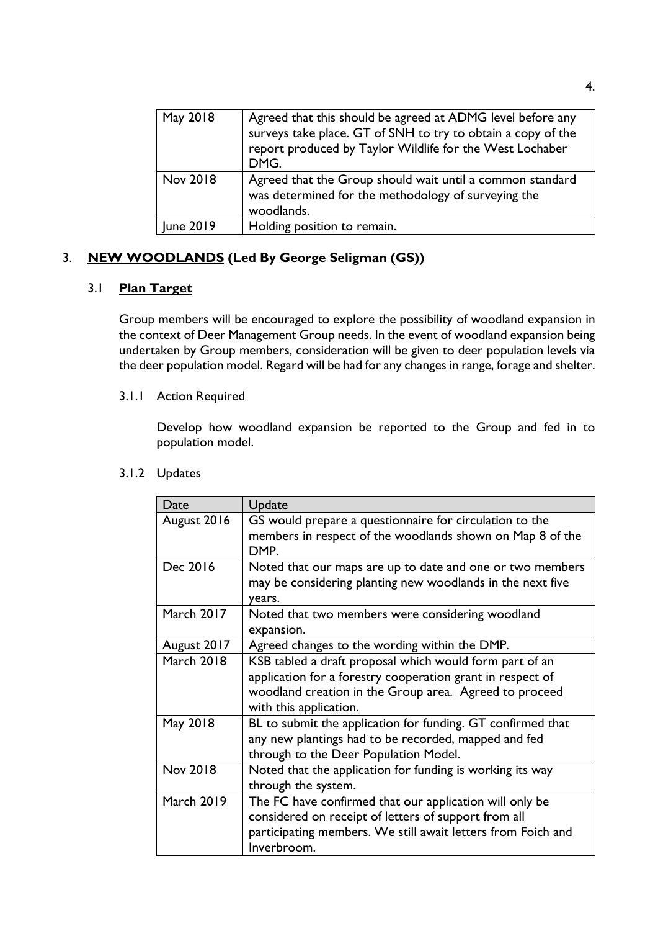| May 2018  | Agreed that this should be agreed at ADMG level before any<br>surveys take place. GT of SNH to try to obtain a copy of the<br>report produced by Taylor Wildlife for the West Lochaber<br>DMG. |
|-----------|------------------------------------------------------------------------------------------------------------------------------------------------------------------------------------------------|
| Nov 2018  | Agreed that the Group should wait until a common standard<br>was determined for the methodology of surveying the<br>woodlands.                                                                 |
| June 2019 | Holding position to remain.                                                                                                                                                                    |

# 3. **NEW WOODLANDS (Led By George Seligman (GS))**

## 3.1 **Plan Target**

Group members will be encouraged to explore the possibility of woodland expansion in the context of Deer Management Group needs. In the event of woodland expansion being undertaken by Group members, consideration will be given to deer population levels via the deer population model. Regard will be had for any changes in range, forage and shelter.

## 3.1.1 Action Required

Develop how woodland expansion be reported to the Group and fed in to population model.

| Date              | Update                                                                                                                                                                                                    |
|-------------------|-----------------------------------------------------------------------------------------------------------------------------------------------------------------------------------------------------------|
| August 2016       | GS would prepare a questionnaire for circulation to the<br>members in respect of the woodlands shown on Map 8 of the<br>DMP.                                                                              |
| Dec 2016          | Noted that our maps are up to date and one or two members<br>may be considering planting new woodlands in the next five<br>years.                                                                         |
| March 2017        | Noted that two members were considering woodland<br>expansion.                                                                                                                                            |
| August 2017       | Agreed changes to the wording within the DMP.                                                                                                                                                             |
| <b>March 2018</b> | KSB tabled a draft proposal which would form part of an<br>application for a forestry cooperation grant in respect of<br>woodland creation in the Group area. Agreed to proceed<br>with this application. |
| May 2018          | BL to submit the application for funding. GT confirmed that<br>any new plantings had to be recorded, mapped and fed<br>through to the Deer Population Model.                                              |
| Nov 2018          | Noted that the application for funding is working its way<br>through the system.                                                                                                                          |
| <b>March 2019</b> | The FC have confirmed that our application will only be<br>considered on receipt of letters of support from all<br>participating members. We still await letters from Foich and<br>Inverbroom.            |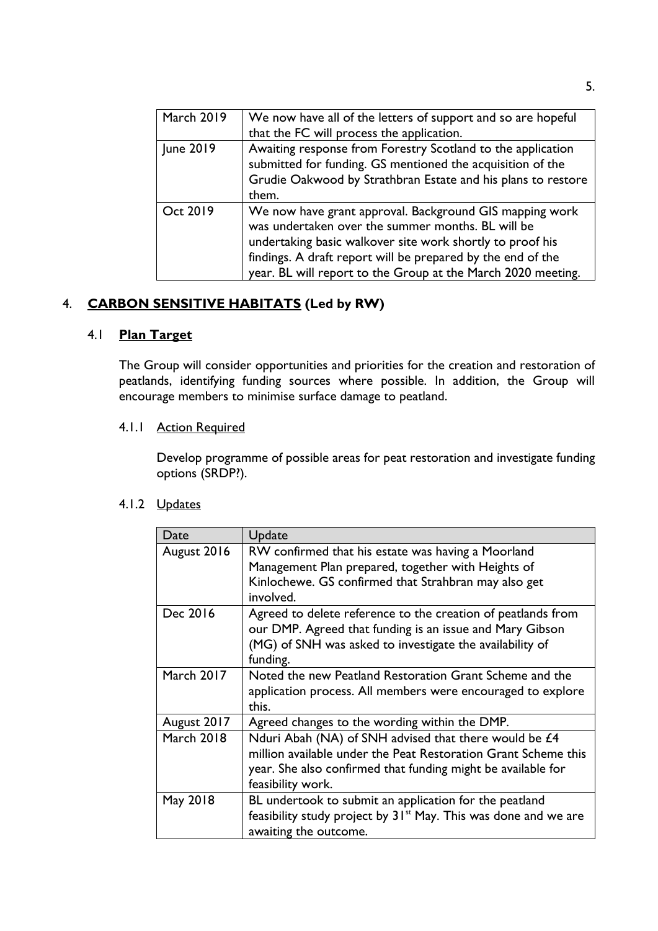| <b>March 2019</b> | We now have all of the letters of support and so are hopeful<br>that the FC will process the application.                                                                                                                                                                                                |
|-------------------|----------------------------------------------------------------------------------------------------------------------------------------------------------------------------------------------------------------------------------------------------------------------------------------------------------|
| June 2019         | Awaiting response from Forestry Scotland to the application<br>submitted for funding. GS mentioned the acquisition of the<br>Grudie Oakwood by Strathbran Estate and his plans to restore<br>them.                                                                                                       |
| Oct 2019          | We now have grant approval. Background GIS mapping work<br>was undertaken over the summer months. BL will be<br>undertaking basic walkover site work shortly to proof his<br>findings. A draft report will be prepared by the end of the<br>year. BL will report to the Group at the March 2020 meeting. |

# 4. **CARBON SENSITIVE HABITATS (Led by RW)**

## 4.1 **Plan Target**

The Group will consider opportunities and priorities for the creation and restoration of peatlands, identifying funding sources where possible. In addition, the Group will encourage members to minimise surface damage to peatland.

## 4.1.1 Action Required

Develop programme of possible areas for peat restoration and investigate funding options (SRDP?).

| Date              | Update                                                                      |
|-------------------|-----------------------------------------------------------------------------|
| August 2016       | RW confirmed that his estate was having a Moorland                          |
|                   | Management Plan prepared, together with Heights of                          |
|                   | Kinlochewe. GS confirmed that Strahbran may also get<br>involved.           |
| Dec 2016          | Agreed to delete reference to the creation of peatlands from                |
|                   | our DMP. Agreed that funding is an issue and Mary Gibson                    |
|                   | (MG) of SNH was asked to investigate the availability of                    |
|                   | funding.                                                                    |
| <b>March 2017</b> | Noted the new Peatland Restoration Grant Scheme and the                     |
|                   | application process. All members were encouraged to explore                 |
|                   | this.                                                                       |
| August 2017       | Agreed changes to the wording within the DMP.                               |
| <b>March 2018</b> | Nduri Abah (NA) of SNH advised that there would be £4                       |
|                   | million available under the Peat Restoration Grant Scheme this              |
|                   | year. She also confirmed that funding might be available for                |
|                   | feasibility work.                                                           |
| May 2018          | BL undertook to submit an application for the peatland                      |
|                   | feasibility study project by 31 <sup>st</sup> May. This was done and we are |
|                   | awaiting the outcome.                                                       |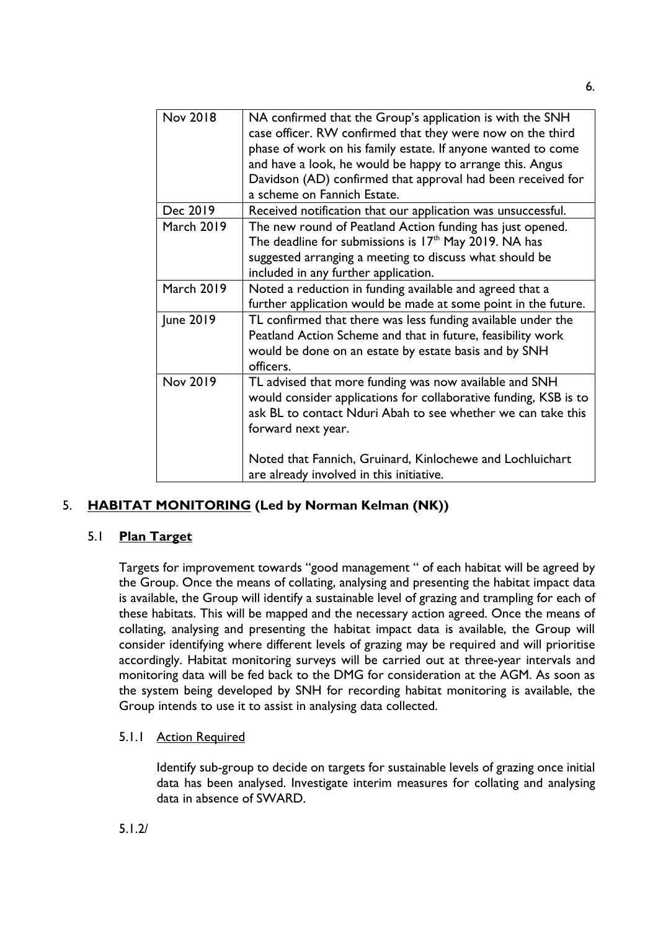| Nov 2018          | NA confirmed that the Group's application is with the SNH<br>case officer. RW confirmed that they were now on the third<br>phase of work on his family estate. If anyone wanted to come<br>and have a look, he would be happy to arrange this. Angus |
|-------------------|------------------------------------------------------------------------------------------------------------------------------------------------------------------------------------------------------------------------------------------------------|
|                   | Davidson (AD) confirmed that approval had been received for<br>a scheme on Fannich Estate.                                                                                                                                                           |
| Dec 2019          | Received notification that our application was unsuccessful.                                                                                                                                                                                         |
| <b>March 2019</b> | The new round of Peatland Action funding has just opened.<br>The deadline for submissions is $17th$ May 2019. NA has                                                                                                                                 |
|                   | suggested arranging a meeting to discuss what should be<br>included in any further application.                                                                                                                                                      |
| <b>March 2019</b> | Noted a reduction in funding available and agreed that a<br>further application would be made at some point in the future.                                                                                                                           |
| June 2019         | TL confirmed that there was less funding available under the<br>Peatland Action Scheme and that in future, feasibility work<br>would be done on an estate by estate basis and by SNH<br>officers.                                                    |
| Nov 2019          | TL advised that more funding was now available and SNH<br>would consider applications for collaborative funding, KSB is to<br>ask BL to contact Nduri Abah to see whether we can take this<br>forward next year.                                     |
|                   | Noted that Fannich, Gruinard, Kinlochewe and Lochluichart<br>are already involved in this initiative.                                                                                                                                                |

## 5. **HABITAT MONITORING (Led by Norman Kelman (NK))**

## 5.1 **Plan Target**

Targets for improvement towards "good management " of each habitat will be agreed by the Group. Once the means of collating, analysing and presenting the habitat impact data is available, the Group will identify a sustainable level of grazing and trampling for each of these habitats. This will be mapped and the necessary action agreed. Once the means of collating, analysing and presenting the habitat impact data is available, the Group will consider identifying where different levels of grazing may be required and will prioritise accordingly. Habitat monitoring surveys will be carried out at three-year intervals and monitoring data will be fed back to the DMG for consideration at the AGM. As soon as the system being developed by SNH for recording habitat monitoring is available, the Group intends to use it to assist in analysing data collected.

## 5.1.1 Action Required

Identify sub-group to decide on targets for sustainable levels of grazing once initial data has been analysed. Investigate interim measures for collating and analysing data in absence of SWARD.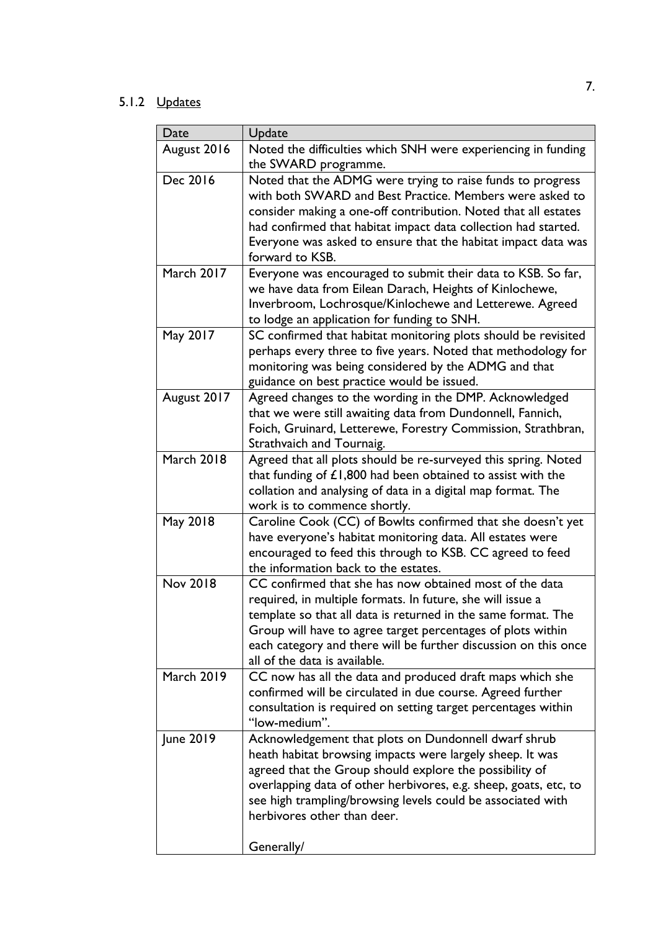| Date              | Update                                                                                                                                                                                                                                                                                                                                                       |
|-------------------|--------------------------------------------------------------------------------------------------------------------------------------------------------------------------------------------------------------------------------------------------------------------------------------------------------------------------------------------------------------|
| August 2016       | Noted the difficulties which SNH were experiencing in funding<br>the SWARD programme.                                                                                                                                                                                                                                                                        |
| Dec 2016          | Noted that the ADMG were trying to raise funds to progress<br>with both SWARD and Best Practice. Members were asked to<br>consider making a one-off contribution. Noted that all estates<br>had confirmed that habitat impact data collection had started.<br>Everyone was asked to ensure that the habitat impact data was<br>forward to KSB.               |
| <b>March 2017</b> | Everyone was encouraged to submit their data to KSB. So far,<br>we have data from Eilean Darach, Heights of Kinlochewe,<br>Inverbroom, Lochrosque/Kinlochewe and Letterewe. Agreed<br>to lodge an application for funding to SNH.                                                                                                                            |
| May 2017          | SC confirmed that habitat monitoring plots should be revisited<br>perhaps every three to five years. Noted that methodology for<br>monitoring was being considered by the ADMG and that<br>guidance on best practice would be issued.                                                                                                                        |
| August 2017       | Agreed changes to the wording in the DMP. Acknowledged<br>that we were still awaiting data from Dundonnell, Fannich,<br>Foich, Gruinard, Letterewe, Forestry Commission, Strathbran,<br>Strathvaich and Tournaig.                                                                                                                                            |
| <b>March 2018</b> | Agreed that all plots should be re-surveyed this spring. Noted<br>that funding of $£1,800$ had been obtained to assist with the<br>collation and analysing of data in a digital map format. The<br>work is to commence shortly.                                                                                                                              |
| May 2018          | Caroline Cook (CC) of Bowlts confirmed that she doesn't yet<br>have everyone's habitat monitoring data. All estates were<br>encouraged to feed this through to KSB. CC agreed to feed<br>the information back to the estates.                                                                                                                                |
| Nov 2018          | CC confirmed that she has now obtained most of the data<br>required, in multiple formats. In future, she will issue a<br>template so that all data is returned in the same format. The<br>Group will have to agree target percentages of plots within<br>each category and there will be further discussion on this once<br>all of the data is available.    |
| <b>March 2019</b> | CC now has all the data and produced draft maps which she<br>confirmed will be circulated in due course. Agreed further<br>consultation is required on setting target percentages within<br>"low-medium".                                                                                                                                                    |
| June 2019         | Acknowledgement that plots on Dundonnell dwarf shrub<br>heath habitat browsing impacts were largely sheep. It was<br>agreed that the Group should explore the possibility of<br>overlapping data of other herbivores, e.g. sheep, goats, etc, to<br>see high trampling/browsing levels could be associated with<br>herbivores other than deer.<br>Generally/ |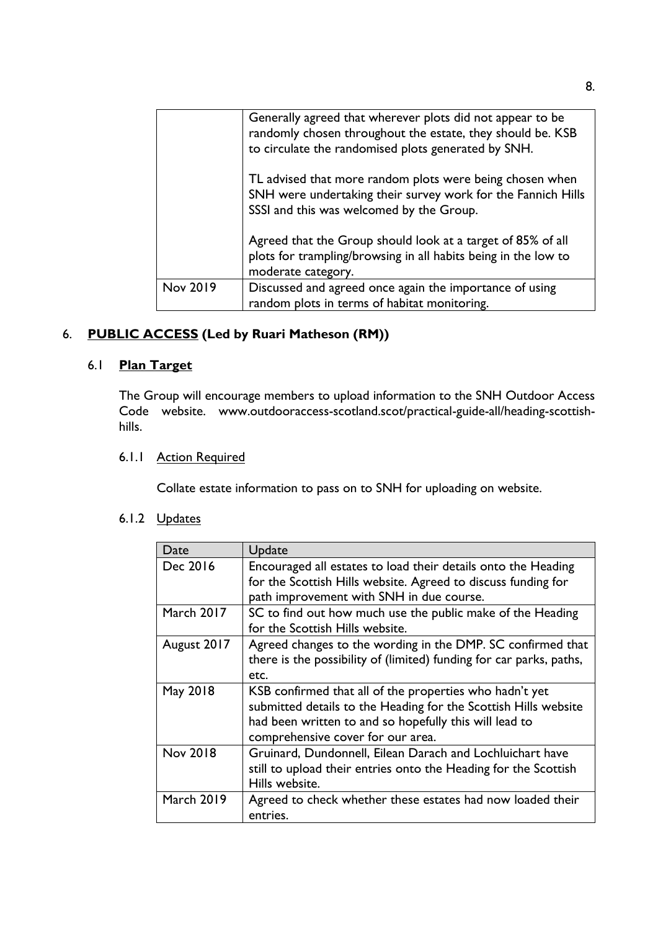|          | Generally agreed that wherever plots did not appear to be<br>randomly chosen throughout the estate, they should be. KSB<br>to circulate the randomised plots generated by SNH. |
|----------|--------------------------------------------------------------------------------------------------------------------------------------------------------------------------------|
|          | TL advised that more random plots were being chosen when<br>SNH were undertaking their survey work for the Fannich Hills<br>SSSI and this was welcomed by the Group.           |
|          | Agreed that the Group should look at a target of 85% of all<br>plots for trampling/browsing in all habits being in the low to<br>moderate category.                            |
| Nov 2019 | Discussed and agreed once again the importance of using                                                                                                                        |
|          | random plots in terms of habitat monitoring.                                                                                                                                   |

# 6. **PUBLIC ACCESS (Led by Ruari Matheson (RM))**

## 6.1 **Plan Target**

The Group will encourage members to upload information to the SNH Outdoor Access Code website. www.outdooraccess-scotland.scot/practical-guide-all/heading-scottishhills.

## 6.1.1 Action Required

Collate estate information to pass on to SNH for uploading on website.

| Date              | Update                                                              |
|-------------------|---------------------------------------------------------------------|
| Dec 2016          | Encouraged all estates to load their details onto the Heading       |
|                   | for the Scottish Hills website. Agreed to discuss funding for       |
|                   | path improvement with SNH in due course.                            |
| <b>March 2017</b> | SC to find out how much use the public make of the Heading          |
|                   | for the Scottish Hills website.                                     |
| August 2017       | Agreed changes to the wording in the DMP. SC confirmed that         |
|                   | there is the possibility of (limited) funding for car parks, paths, |
|                   | etc.                                                                |
| May 2018          | KSB confirmed that all of the properties who hadn't yet             |
|                   | submitted details to the Heading for the Scottish Hills website     |
|                   | had been written to and so hopefully this will lead to              |
|                   | comprehensive cover for our area.                                   |
| <b>Nov 2018</b>   | Gruinard, Dundonnell, Eilean Darach and Lochluichart have           |
|                   | still to upload their entries onto the Heading for the Scottish     |
|                   | Hills website.                                                      |
| <b>March 2019</b> | Agreed to check whether these estates had now loaded their          |
|                   | entries.                                                            |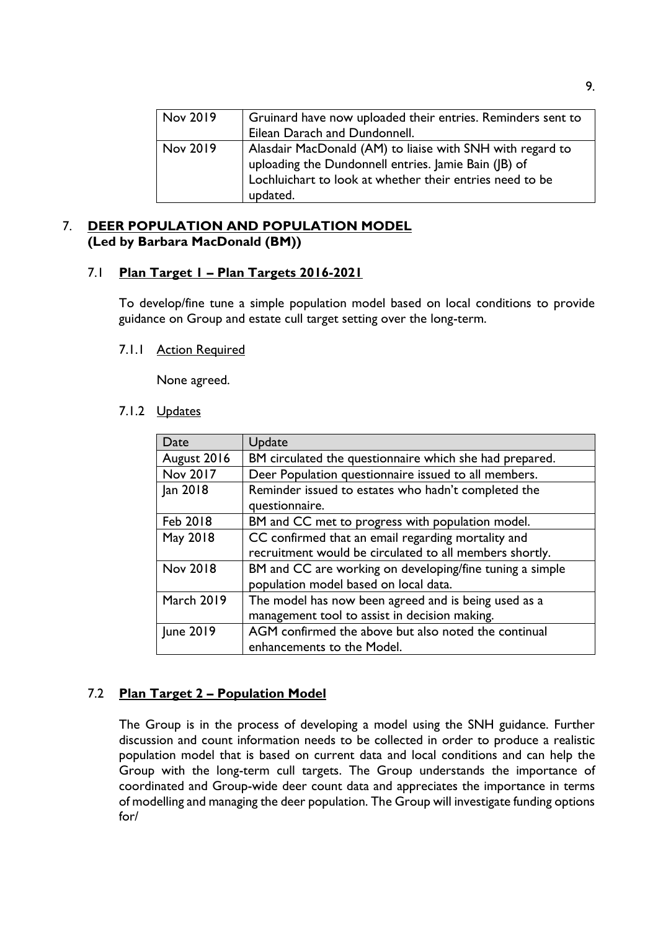| Nov 2019 | Gruinard have now uploaded their entries. Reminders sent to                                                                                                                               |
|----------|-------------------------------------------------------------------------------------------------------------------------------------------------------------------------------------------|
|          | Eilean Darach and Dundonnell.                                                                                                                                                             |
| Nov 2019 | Alasdair MacDonald (AM) to liaise with SNH with regard to<br>uploading the Dundonnell entries. Jamie Bain (JB) of<br>Lochluichart to look at whether their entries need to be<br>updated. |

## 7. **DEER POPULATION AND POPULATION MODEL (Led by Barbara MacDonald (BM))**

## 7.1 **Plan Target 1 – Plan Targets 2016-2021**

To develop/fine tune a simple population model based on local conditions to provide guidance on Group and estate cull target setting over the long-term.

## 7.1.1 Action Required

None agreed.

### 7.1.2 Updates

| Date              | Update                                                   |
|-------------------|----------------------------------------------------------|
| August 2016       | BM circulated the questionnaire which she had prepared.  |
| Nov 2017          | Deer Population questionnaire issued to all members.     |
| Jan 2018          | Reminder issued to estates who hadn't completed the      |
|                   | questionnaire.                                           |
| Feb 2018          | BM and CC met to progress with population model.         |
| May 2018          | CC confirmed that an email regarding mortality and       |
|                   | recruitment would be circulated to all members shortly.  |
| Nov 2018          | BM and CC are working on developing/fine tuning a simple |
|                   | population model based on local data.                    |
| <b>March 2019</b> | The model has now been agreed and is being used as a     |
|                   | management tool to assist in decision making.            |
| June 2019         | AGM confirmed the above but also noted the continual     |
|                   | enhancements to the Model.                               |

## 7.2 **Plan Target 2 – Population Model**

The Group is in the process of developing a model using the SNH guidance. Further discussion and count information needs to be collected in order to produce a realistic population model that is based on current data and local conditions and can help the Group with the long-term cull targets. The Group understands the importance of coordinated and Group-wide deer count data and appreciates the importance in terms of modelling and managing the deer population. The Group will investigate funding options for/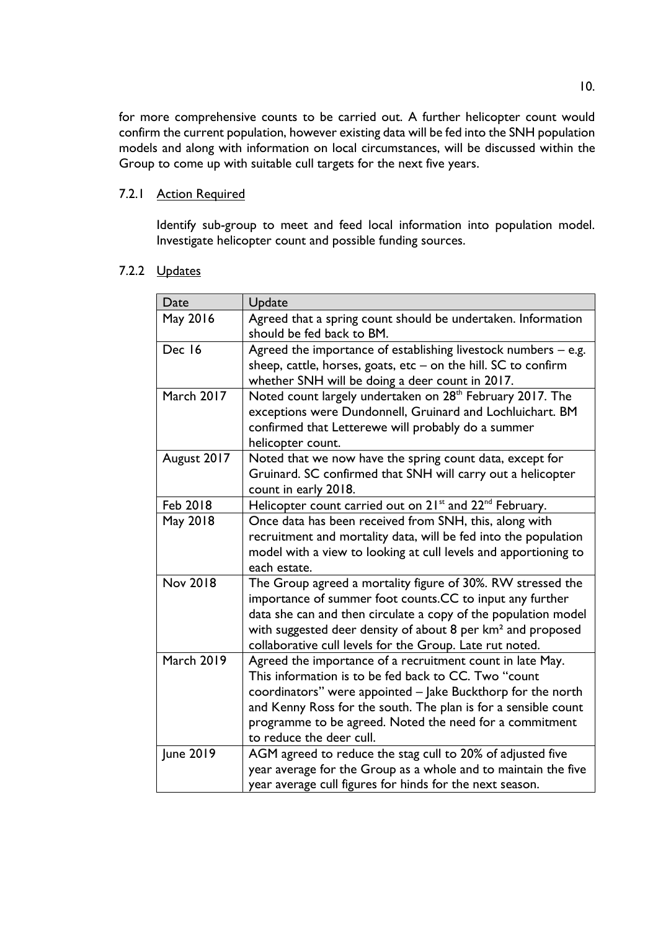for more comprehensive counts to be carried out. A further helicopter count would confirm the current population, however existing data will be fed into the SNH population models and along with information on local circumstances, will be discussed within the Group to come up with suitable cull targets for the next five years.

### 7.2.1 Action Required

Identify sub-group to meet and feed local information into population model. Investigate helicopter count and possible funding sources.

| Date              | Update                                                                                                                                                                                                                                                                                                                                    |
|-------------------|-------------------------------------------------------------------------------------------------------------------------------------------------------------------------------------------------------------------------------------------------------------------------------------------------------------------------------------------|
| May 2016          | Agreed that a spring count should be undertaken. Information<br>should be fed back to BM.                                                                                                                                                                                                                                                 |
| Dec 16            | Agreed the importance of establishing livestock numbers $-$ e.g.<br>sheep, cattle, horses, goats, etc - on the hill. SC to confirm<br>whether SNH will be doing a deer count in 2017.                                                                                                                                                     |
| <b>March 2017</b> | Noted count largely undertaken on 28 <sup>th</sup> February 2017. The<br>exceptions were Dundonnell, Gruinard and Lochluichart. BM<br>confirmed that Letterewe will probably do a summer<br>helicopter count.                                                                                                                             |
| August 2017       | Noted that we now have the spring count data, except for<br>Gruinard. SC confirmed that SNH will carry out a helicopter<br>count in early 2018.                                                                                                                                                                                           |
| Feb 2018          | Helicopter count carried out on 21 <sup>st</sup> and 22 <sup>nd</sup> February.                                                                                                                                                                                                                                                           |
| May 2018          | Once data has been received from SNH, this, along with<br>recruitment and mortality data, will be fed into the population<br>model with a view to looking at cull levels and apportioning to<br>each estate.                                                                                                                              |
| <b>Nov 2018</b>   | The Group agreed a mortality figure of 30%. RW stressed the<br>importance of summer foot counts.CC to input any further<br>data she can and then circulate a copy of the population model<br>with suggested deer density of about 8 per km <sup>2</sup> and proposed<br>collaborative cull levels for the Group. Late rut noted.          |
| <b>March 2019</b> | Agreed the importance of a recruitment count in late May.<br>This information is to be fed back to CC. Two "count<br>coordinators" were appointed - Jake Buckthorp for the north<br>and Kenny Ross for the south. The plan is for a sensible count<br>programme to be agreed. Noted the need for a commitment<br>to reduce the deer cull. |
| June 2019         | AGM agreed to reduce the stag cull to 20% of adjusted five<br>year average for the Group as a whole and to maintain the five<br>year average cull figures for hinds for the next season.                                                                                                                                                  |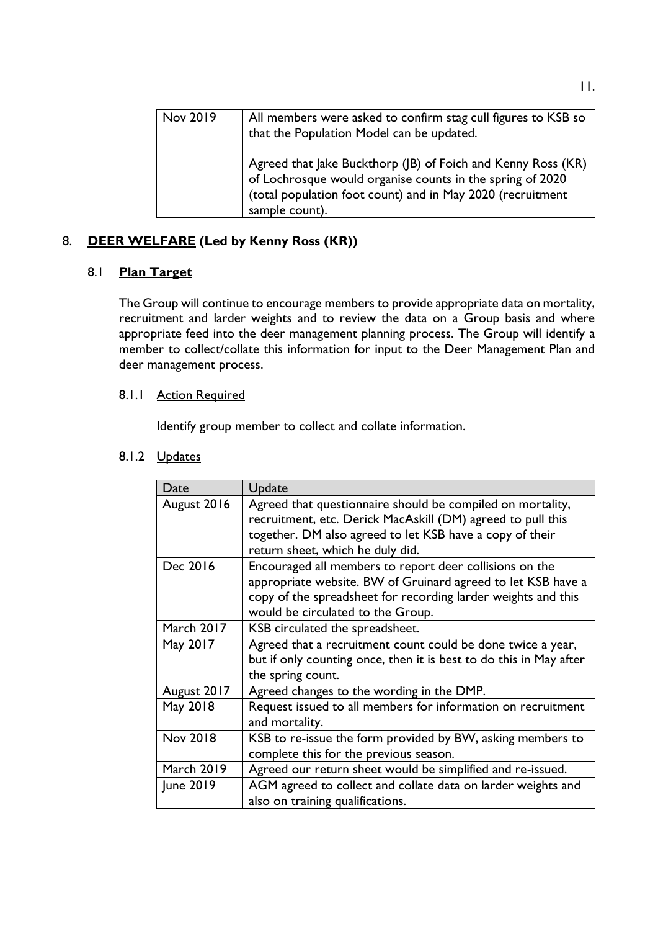| Nov 2019 | All members were asked to confirm stag cull figures to KSB so<br>that the Population Model can be updated.                                                                                                |
|----------|-----------------------------------------------------------------------------------------------------------------------------------------------------------------------------------------------------------|
|          | Agreed that Jake Buckthorp (JB) of Foich and Kenny Ross (KR)<br>of Lochrosque would organise counts in the spring of 2020<br>(total population foot count) and in May 2020 (recruitment<br>sample count). |

# 8. **DEER WELFARE (Led by Kenny Ross (KR))**

## 8.1 **Plan Target**

The Group will continue to encourage members to provide appropriate data on mortality, recruitment and larder weights and to review the data on a Group basis and where appropriate feed into the deer management planning process. The Group will identify a member to collect/collate this information for input to the Deer Management Plan and deer management process.

## 8.1.1 Action Required

Identify group member to collect and collate information.

| Date              | Update                                                                                                                                                                                                                        |
|-------------------|-------------------------------------------------------------------------------------------------------------------------------------------------------------------------------------------------------------------------------|
| August 2016       | Agreed that questionnaire should be compiled on mortality,<br>recruitment, etc. Derick MacAskill (DM) agreed to pull this<br>together. DM also agreed to let KSB have a copy of their<br>return sheet, which he duly did.     |
| Dec 2016          | Encouraged all members to report deer collisions on the<br>appropriate website. BW of Gruinard agreed to let KSB have a<br>copy of the spreadsheet for recording larder weights and this<br>would be circulated to the Group. |
| <b>March 2017</b> | KSB circulated the spreadsheet.                                                                                                                                                                                               |
| May 2017          | Agreed that a recruitment count could be done twice a year,<br>but if only counting once, then it is best to do this in May after<br>the spring count.                                                                        |
| August 2017       | Agreed changes to the wording in the DMP.                                                                                                                                                                                     |
| May 2018          | Request issued to all members for information on recruitment<br>and mortality.                                                                                                                                                |
| <b>Nov 2018</b>   | KSB to re-issue the form provided by BW, asking members to<br>complete this for the previous season.                                                                                                                          |
| <b>March 2019</b> | Agreed our return sheet would be simplified and re-issued.                                                                                                                                                                    |
| June 2019         | AGM agreed to collect and collate data on larder weights and<br>also on training qualifications.                                                                                                                              |